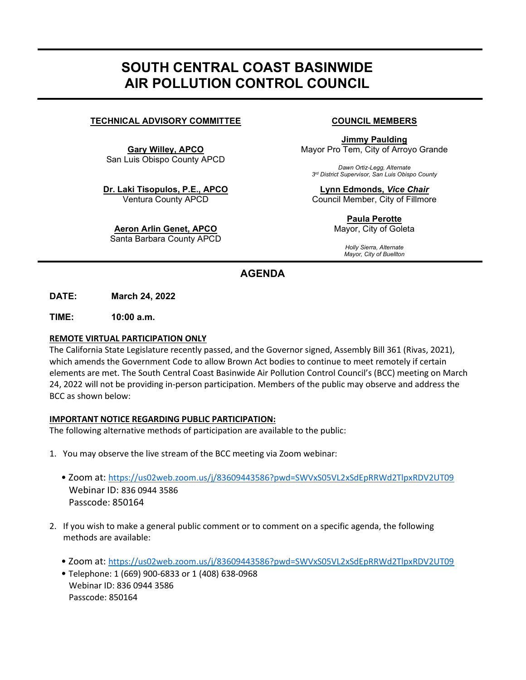# SOUTH CENTRAL COAST BASINWIDE AIR POLLUTION CONTROL COUNCIL

# TECHNICAL ADVISORY COMMITTEE COUNCIL MEMBERS

Gary Willey, APCO San Luis Obispo County APCD

Dr. Laki Tisopulos, P.E., APCO Ventura County APCD

Aeron Arlin Genet, APCO Santa Barbara County APCD

Jimmy Paulding Mayor Pro Tem, City of Arroyo Grande

Dawn Ortiz-Legg, Alternate 3<sup>rd</sup> District Supervisor, San Luis Obispo County

Lynn Edmonds, Vice Chair Council Member, City of Fillmore

> Paula Perotte Mayor, City of Goleta

> > Holly Sierra, Alternate Mayor, City of Buellton

# AGENDA

DATE: March 24, 2022

TIME: 10:00 a.m.

٦

## REMOTE VIRTUAL PARTICIPATION ONLY

The California State Legislature recently passed, and the Governor signed, Assembly Bill 361 (Rivas, 2021), which amends the Government Code to allow Brown Act bodies to continue to meet remotely if certain elements are met. The South Central Coast Basinwide Air Pollution Control Council's (BCC) meeting on March 24, 2022 will not be providing in-person participation. Members of the public may observe and address the BCC as shown below:

### IMPORTANT NOTICE REGARDING PUBLIC PARTICIPATION:

The following alternative methods of participation are available to the public:

- 1. You may observe the live stream of the BCC meeting via Zoom webinar:
	- Zoom at: https://us02web.zoom.us/j/83609443586?pwd=SWVxS05VL2xSdEpRRWd2TlpxRDV2UT09 Webinar ID: 836 0944 3586 Passcode: 850164
- 2. If you wish to make a general public comment or to comment on a specific agenda, the following methods are available:
	- Zoom at: https://us02web.zoom.us/j/83609443586?pwd=SWVxS05VL2xSdEpRRWd2TlpxRDV2UT09
	- Telephone: 1 (669) 900-6833 or 1 (408) 638-0968 Webinar ID: 836 0944 3586 Passcode: 850164